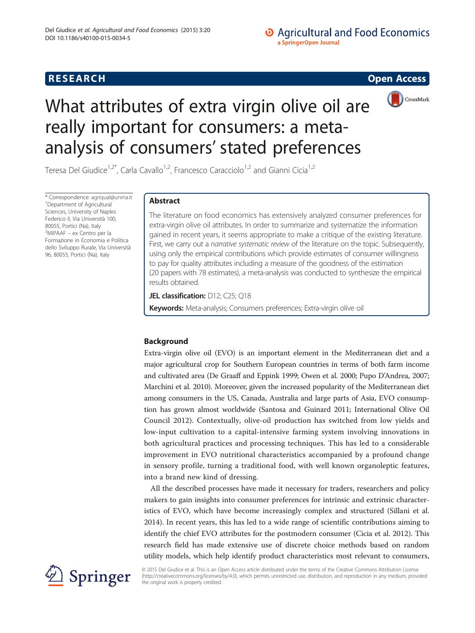# **RESEARCH RESEARCH CONSUMING ACCESS**



# What attributes of extra virgin olive oil are really important for consumers: a metaanalysis of consumers' stated preferences

Teresa Del Giudice<sup>1,2\*</sup>, Carla Cavallo<sup>1,2</sup>, Francesco Caracciolo<sup>1,2</sup> and Gianni Cicia<sup>1,2</sup>

\* Correspondence: [agriqual@unina.it](mailto:agriqual@unina.it) <sup>1</sup> <sup>1</sup>Department of Agricultural Sciences, University of Naples Federico II, Via Università 100, 80055, Portici (Na), Italy 2 MiPAAF – ex Centro per la Formazione in Economia e Politica dello Sviluppo Rurale, Via Università 96, 80055, Portici (Na), Italy

## Abstract

The literature on food economics has extensively analyzed consumer preferences for extra-virgin olive oil attributes. In order to summarize and systematize the information gained in recent years, it seems appropriate to make a critique of the existing literature. First, we carry out a narrative systematic review of the literature on the topic. Subsequently, using only the empirical contributions which provide estimates of consumer willingness to pay for quality attributes including a measure of the goodness of the estimation (20 papers with 78 estimates), a meta-analysis was conducted to synthesize the empirical results obtained.

JEL classification: D12; C25; Q18

Keywords: Meta-analysis; Consumers preferences; Extra-virgin olive oil

# Background

Extra-virgin olive oil (EVO) is an important element in the Mediterranean diet and a major agricultural crop for Southern European countries in terms of both farm income and cultivated area (De Graaff and Eppink [1999;](#page-12-0) Owen et al. [2000;](#page-13-0) Pupo D'Andrea, [2007](#page-14-0); Marchini et al. [2010](#page-13-0)). Moreover, given the increased popularity of the Mediterranean diet among consumers in the US, Canada, Australia and large parts of Asia, EVO consumption has grown almost worldwide (Santosa and Guinard [2011](#page-14-0); International Olive Oil Council [2012](#page-13-0)). Contextually, olive-oil production has switched from low yields and low-input cultivation to a capital-intensive farming system involving innovations in both agricultural practices and processing techniques. This has led to a considerable improvement in EVO nutritional characteristics accompanied by a profound change in sensory profile, turning a traditional food, with well known organoleptic features, into a brand new kind of dressing.

All the described processes have made it necessary for traders, researchers and policy makers to gain insights into consumer preferences for intrinsic and extrinsic characteristics of EVO, which have become increasingly complex and structured (Sillani et al. [2014](#page-14-0)). In recent years, this has led to a wide range of scientific contributions aiming to identify the chief EVO attributes for the postmodern consumer (Cicia et al. [2012](#page-12-0)). This research field has made extensive use of discrete choice methods based on random utility models, which help identify product characteristics most relevant to consumers,



© 2015 Del Giudice et al. This is an Open Access article distributed under the terms of the Creative Commons Attribution License (<http://creativecommons.org/licenses/by/4.0>), which permits unrestricted use, distribution, and reproduction in any medium, provided the original work is properly credited.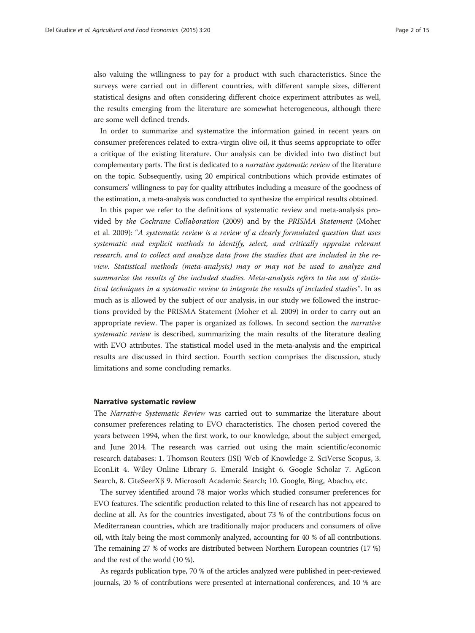also valuing the willingness to pay for a product with such characteristics. Since the surveys were carried out in different countries, with different sample sizes, different statistical designs and often considering different choice experiment attributes as well, the results emerging from the literature are somewhat heterogeneous, although there are some well defined trends.

In order to summarize and systematize the information gained in recent years on consumer preferences related to extra-virgin olive oil, it thus seems appropriate to offer a critique of the existing literature. Our analysis can be divided into two distinct but complementary parts. The first is dedicated to a *narrative systematic review* of the literature on the topic. Subsequently, using 20 empirical contributions which provide estimates of consumers' willingness to pay for quality attributes including a measure of the goodness of the estimation, a meta-analysis was conducted to synthesize the empirical results obtained.

In this paper we refer to the definitions of systematic review and meta-analysis provided by the Cochrane Collaboration (2009) and by the PRISMA Statement (Moher et al. [2009\)](#page-13-0): "A systematic review is a review of a clearly formulated question that uses systematic and explicit methods to identify, select, and critically appraise relevant research, and to collect and analyze data from the studies that are included in the review. Statistical methods (meta-analysis) may or may not be used to analyze and summarize the results of the included studies. Meta-analysis refers to the use of statistical techniques in a systematic review to integrate the results of included studies". In as much as is allowed by the subject of our analysis, in our study we followed the instructions provided by the PRISMA Statement (Moher et al. [2009\)](#page-13-0) in order to carry out an appropriate review. The paper is organized as follows. In second section the *narrative* systematic review is described, summarizing the main results of the literature dealing with EVO attributes. The statistical model used in the meta-analysis and the empirical results are discussed in third section. Fourth section comprises the discussion, study limitations and some concluding remarks.

#### Narrative systematic review

The Narrative Systematic Review was carried out to summarize the literature about consumer preferences relating to EVO characteristics. The chosen period covered the years between 1994, when the first work, to our knowledge, about the subject emerged, and June 2014. The research was carried out using the main scientific/economic research databases: 1. Thomson Reuters (ISI) Web of Knowledge 2. SciVerse Scopus, 3. EconLit 4. Wiley Online Library 5. Emerald Insight 6. Google Scholar 7. AgEcon Search, 8. CiteSeerXβ 9. Microsoft Academic Search; 10. Google, Bing, Abacho, etc.

The survey identified around 78 major works which studied consumer preferences for EVO features. The scientific production related to this line of research has not appeared to decline at all. As for the countries investigated, about 73 % of the contributions focus on Mediterranean countries, which are traditionally major producers and consumers of olive oil, with Italy being the most commonly analyzed, accounting for 40 % of all contributions. The remaining 27 % of works are distributed between Northern European countries (17 %) and the rest of the world (10 %).

As regards publication type, 70 % of the articles analyzed were published in peer-reviewed journals, 20 % of contributions were presented at international conferences, and 10 % are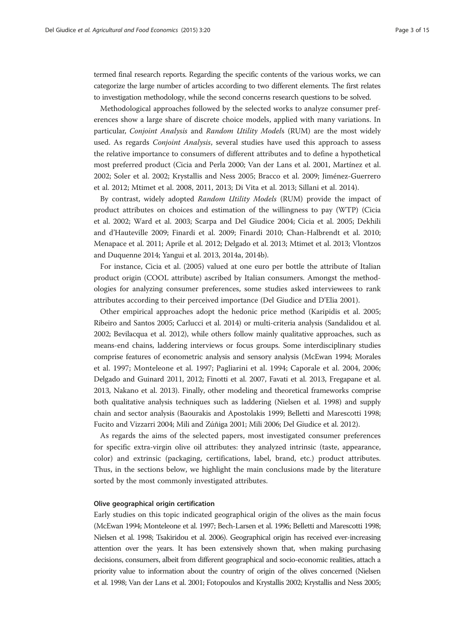termed final research reports. Regarding the specific contents of the various works, we can categorize the large number of articles according to two different elements. The first relates to investigation methodology, while the second concerns research questions to be solved.

Methodological approaches followed by the selected works to analyze consumer preferences show a large share of discrete choice models, applied with many variations. In particular, Conjoint Analysis and Random Utility Models (RUM) are the most widely used. As regards *Conjoint Analysis*, several studies have used this approach to assess the relative importance to consumers of different attributes and to define a hypothetical most preferred product (Cicia and Perla [2000;](#page-12-0) Van der Lans et al. [2001](#page-14-0), Martínez et al. [2002](#page-13-0); Soler et al. [2002;](#page-14-0) Krystallis and Ness [2005](#page-13-0); Bracco et al. [2009;](#page-12-0) Jiménez-Guerrero et al. [2012;](#page-13-0) Mtimet et al. [2008,](#page-13-0) [2011](#page-14-0), [2013](#page-14-0); Di Vita et al. [2013;](#page-13-0) Sillani et al. [2014](#page-14-0)).

By contrast, widely adopted Random Utility Models (RUM) provide the impact of product attributes on choices and estimation of the willingness to pay (WTP) (Cicia et al. [2002;](#page-12-0) Ward et al. [2003;](#page-14-0) Scarpa and Del Giudice [2004;](#page-14-0) Cicia et al. [2005](#page-12-0); Dekhili and d'Hauteville [2009](#page-12-0); Finardi et al. [2009;](#page-13-0) Finardi [2010](#page-13-0); Chan-Halbrendt et al. [2010](#page-12-0); Menapace et al. [2011;](#page-13-0) Aprile et al. [2012](#page-12-0); Delgado et al. [2013](#page-13-0); Mtimet et al. [2013](#page-14-0); Vlontzos and Duquenne [2014;](#page-14-0) Yangui et al. [2013](#page-14-0), [2014a, 2014b\)](#page-14-0).

For instance, Cicia et al. [\(2005](#page-12-0)) valued at one euro per bottle the attribute of Italian product origin (COOL attribute) ascribed by Italian consumers. Amongst the methodologies for analyzing consumer preferences, some studies asked interviewees to rank attributes according to their perceived importance (Del Giudice and D'Elia [2001](#page-12-0)).

Other empirical approaches adopt the hedonic price method (Karipidis et al. [2005](#page-13-0); Ribeiro and Santos [2005](#page-14-0); Carlucci et al. [2014\)](#page-12-0) or multi-criteria analysis (Sandalidou et al. [2002;](#page-14-0) Bevilacqua et al. [2012](#page-12-0)), while others follow mainly qualitative approaches, such as means-end chains, laddering interviews or focus groups. Some interdisciplinary studies comprise features of econometric analysis and sensory analysis (McEwan [1994](#page-13-0); Morales et al. [1997;](#page-13-0) Monteleone et al. [1997;](#page-13-0) Pagliarini et al. [1994;](#page-14-0) Caporale et al. [2004, 2006](#page-12-0); Delgado and Guinard [2011, 2012;](#page-12-0) Finotti et al. [2007](#page-13-0), Favati et al. [2013,](#page-13-0) Fregapane et al. [2013,](#page-13-0) Nakano et al. [2013\)](#page-14-0). Finally, other modeling and theoretical frameworks comprise both qualitative analysis techniques such as laddering (Nielsen et al. [1998](#page-14-0)) and supply chain and sector analysis (Baourakis and Apostolakis [1999](#page-12-0); Belletti and Marescotti [1998](#page-12-0); Fucito and Vizzarri [2004](#page-13-0); Mili and Zúñiga [2001;](#page-13-0) Mili [2006;](#page-13-0) Del Giudice et al. [2012](#page-12-0)).

As regards the aims of the selected papers, most investigated consumer preferences for specific extra-virgin olive oil attributes: they analyzed intrinsic (taste, appearance, color) and extrinsic (packaging, certifications, label, brand, etc.) product attributes. Thus, in the sections below, we highlight the main conclusions made by the literature sorted by the most commonly investigated attributes.

#### Olive geographical origin certification

Early studies on this topic indicated geographical origin of the olives as the main focus (McEwan [1994;](#page-13-0) Monteleone et al. [1997](#page-13-0); Bech-Larsen et al. [1996;](#page-12-0) Belletti and Marescotti [1998](#page-12-0); Nielsen et al. [1998](#page-14-0); Tsakiridou et al. [2006](#page-14-0)). Geographical origin has received ever-increasing attention over the years. It has been extensively shown that, when making purchasing decisions, consumers, albeit from different geographical and socio-economic realities, attach a priority value to information about the country of origin of the olives concerned (Nielsen et al. [1998;](#page-14-0) Van der Lans et al. [2001](#page-14-0); Fotopoulos and Krystallis [2002](#page-13-0); Krystallis and Ness [2005](#page-13-0);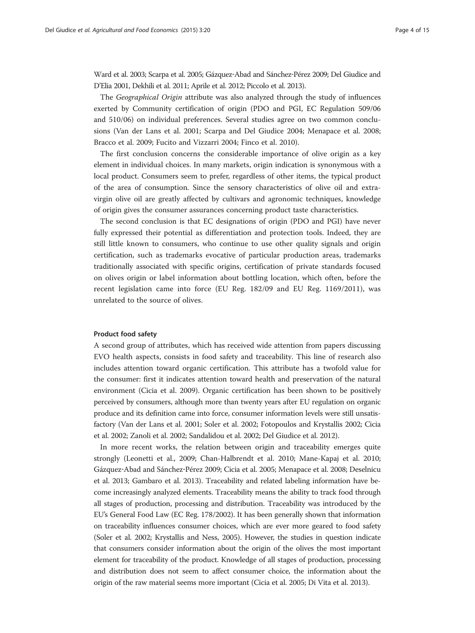Ward et al. [2003;](#page-14-0) Scarpa et al. [2005](#page-14-0); Gázquez‐Abad and Sánchez‐Pérez [2009](#page-13-0); Del Giudice and D'Elia [2001](#page-12-0), Dekhili et al. [2011;](#page-12-0) Aprile et al. [2012;](#page-12-0) Piccolo et al. [2013\)](#page-14-0).

The Geographical Origin attribute was also analyzed through the study of influences exerted by Community certification of origin (PDO and PGI, EC Regulation 509/06 and 510/06) on individual preferences. Several studies agree on two common conclusions (Van der Lans et al. [2001](#page-14-0); Scarpa and Del Giudice [2004;](#page-14-0) Menapace et al. [2008](#page-13-0); Bracco et al. [2009;](#page-12-0) Fucito and Vizzarri [2004](#page-13-0); Finco et al. [2010](#page-13-0)).

The first conclusion concerns the considerable importance of olive origin as a key element in individual choices. In many markets, origin indication is synonymous with a local product. Consumers seem to prefer, regardless of other items, the typical product of the area of consumption. Since the sensory characteristics of olive oil and extravirgin olive oil are greatly affected by cultivars and agronomic techniques, knowledge of origin gives the consumer assurances concerning product taste characteristics.

The second conclusion is that EC designations of origin (PDO and PGI) have never fully expressed their potential as differentiation and protection tools. Indeed, they are still little known to consumers, who continue to use other quality signals and origin certification, such as trademarks evocative of particular production areas, trademarks traditionally associated with specific origins, certification of private standards focused on olives origin or label information about bottling location, which often, before the recent legislation came into force (EU Reg. 182/09 and EU Reg. 1169/2011), was unrelated to the source of olives.

#### Product food safety

A second group of attributes, which has received wide attention from papers discussing EVO health aspects, consists in food safety and traceability. This line of research also includes attention toward organic certification. This attribute has a twofold value for the consumer: first it indicates attention toward health and preservation of the natural environment (Cicia et al. [2009](#page-12-0)). Organic certification has been shown to be positively perceived by consumers, although more than twenty years after EU regulation on organic produce and its definition came into force, consumer information levels were still unsatisfactory (Van der Lans et al. [2001;](#page-14-0) Soler et al. [2002;](#page-14-0) Fotopoulos and Krystallis [2002](#page-13-0); Cicia et al. [2002](#page-12-0); Zanoli et al. [2002](#page-14-0); Sandalidou et al. [2002;](#page-14-0) Del Giudice et al. [2012](#page-12-0)).

In more recent works, the relation between origin and traceability emerges quite strongly (Leonetti et al., [2009](#page-13-0); Chan-Halbrendt et al. [2010](#page-12-0); Mane-Kapaj et al. [2010](#page-13-0); Gázquez‐Abad and Sánchez‐Pérez [2009](#page-13-0); Cicia et al. [2005](#page-12-0); Menapace et al. [2008;](#page-13-0) Deselnicu et al. [2013](#page-13-0); Gambaro et al. [2013](#page-13-0)). Traceability and related labeling information have become increasingly analyzed elements. Traceability means the ability to track food through all stages of production, processing and distribution. Traceability was introduced by the EU's General Food Law (EC Reg. 178/2002). It has been generally shown that information on traceability influences consumer choices, which are ever more geared to food safety (Soler et al. [2002](#page-14-0); Krystallis and Ness, [2005\)](#page-13-0). However, the studies in question indicate that consumers consider information about the origin of the olives the most important element for traceability of the product. Knowledge of all stages of production, processing and distribution does not seem to affect consumer choice, the information about the origin of the raw material seems more important (Cicia et al. [2005;](#page-12-0) Di Vita et al. [2013\)](#page-13-0).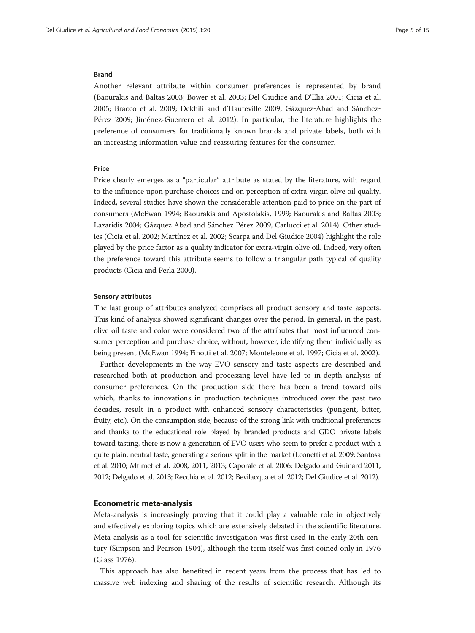#### Brand

Another relevant attribute within consumer preferences is represented by brand (Baourakis and Baltas [2003](#page-12-0); Bower et al. [2003](#page-12-0); Del Giudice and D'Elia [2001;](#page-12-0) Cicia et al. [2005](#page-12-0); Bracco et al. [2009](#page-12-0); Dekhili and d'Hauteville [2009;](#page-12-0) Gázquez‐Abad and Sánchez‐ Pérez [2009;](#page-13-0) Jiménez-Guerrero et al. [2012](#page-13-0)). In particular, the literature highlights the preference of consumers for traditionally known brands and private labels, both with an increasing information value and reassuring features for the consumer.

#### Price

Price clearly emerges as a "particular" attribute as stated by the literature, with regard to the influence upon purchase choices and on perception of extra-virgin olive oil quality. Indeed, several studies have shown the considerable attention paid to price on the part of consumers (McEwan [1994](#page-13-0); Baourakis and Apostolakis, [1999;](#page-12-0) Baourakis and Baltas [2003](#page-12-0); Lazaridis [2004;](#page-13-0) Gázquez-Abad and Sánchez-Pérez [2009,](#page-13-0) Carlucci et al. [2014](#page-12-0)). Other studies (Cicia et al. [2002](#page-12-0); Martínez et al. [2002;](#page-13-0) Scarpa and Del Giudice [2004](#page-14-0)) highlight the role played by the price factor as a quality indicator for extra-virgin olive oil. Indeed, very often the preference toward this attribute seems to follow a triangular path typical of quality products (Cicia and Perla [2000\)](#page-12-0).

#### Sensory attributes

The last group of attributes analyzed comprises all product sensory and taste aspects. This kind of analysis showed significant changes over the period. In general, in the past, olive oil taste and color were considered two of the attributes that most influenced consumer perception and purchase choice, without, however, identifying them individually as being present (McEwan [1994;](#page-13-0) Finotti et al. [2007;](#page-13-0) Monteleone et al. [1997](#page-13-0); Cicia et al. [2002](#page-12-0)).

Further developments in the way EVO sensory and taste aspects are described and researched both at production and processing level have led to in-depth analysis of consumer preferences. On the production side there has been a trend toward oils which, thanks to innovations in production techniques introduced over the past two decades, result in a product with enhanced sensory characteristics (pungent, bitter, fruity, etc.). On the consumption side, because of the strong link with traditional preferences and thanks to the educational role played by branded products and GDO private labels toward tasting, there is now a generation of EVO users who seem to prefer a product with a quite plain, neutral taste, generating a serious split in the market (Leonetti et al. [2009](#page-13-0); Santosa et al. [2010;](#page-14-0) Mtimet et al. [2008,](#page-13-0) [2011, 2013](#page-14-0); Caporale et al. [2006;](#page-12-0) Delgado and Guinard [2011](#page-12-0), [2012](#page-12-0); Delgado et al. [2013;](#page-13-0) Recchia et al. [2012;](#page-14-0) Bevilacqua et al. [2012;](#page-12-0) Del Giudice et al. [2012](#page-12-0)).

### Econometric meta-analysis

Meta-analysis is increasingly proving that it could play a valuable role in objectively and effectively exploring topics which are extensively debated in the scientific literature. Meta-analysis as a tool for scientific investigation was first used in the early 20th century (Simpson and Pearson [1904\)](#page-14-0), although the term itself was first coined only in 1976 (Glass [1976](#page-13-0)).

This approach has also benefited in recent years from the process that has led to massive web indexing and sharing of the results of scientific research. Although its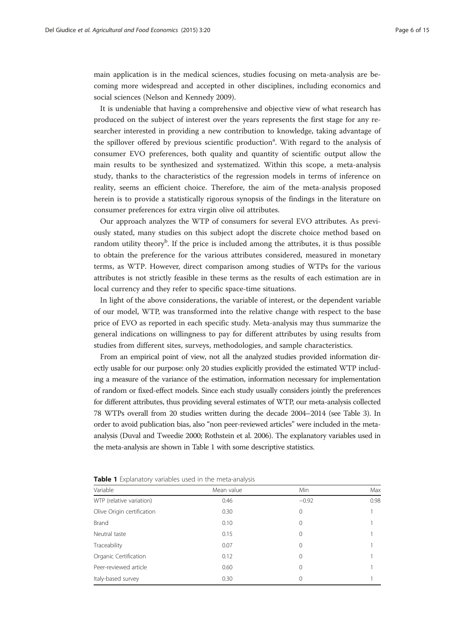main application is in the medical sciences, studies focusing on meta-analysis are becoming more widespread and accepted in other disciplines, including economics and social sciences (Nelson and Kennedy [2009\)](#page-14-0).

It is undeniable that having a comprehensive and objective view of what research has produced on the subject of interest over the years represents the first stage for any researcher interested in providing a new contribution to knowledge, taking advantage of the spillover offered by previous scientific production<sup>a</sup>. With regard to the analysis of consumer EVO preferences, both quality and quantity of scientific output allow the main results to be synthesized and systematized. Within this scope, a meta-analysis study, thanks to the characteristics of the regression models in terms of inference on reality, seems an efficient choice. Therefore, the aim of the meta-analysis proposed herein is to provide a statistically rigorous synopsis of the findings in the literature on consumer preferences for extra virgin olive oil attributes.

Our approach analyzes the WTP of consumers for several EVO attributes. As previously stated, many studies on this subject adopt the discrete choice method based on random utility theory<sup>b</sup>. If the price is included among the attributes, it is thus possible to obtain the preference for the various attributes considered, measured in monetary terms, as WTP. However, direct comparison among studies of WTPs for the various attributes is not strictly feasible in these terms as the results of each estimation are in local currency and they refer to specific space-time situations.

In light of the above considerations, the variable of interest, or the dependent variable of our model, WTP, was transformed into the relative change with respect to the base price of EVO as reported in each specific study. Meta-analysis may thus summarize the general indications on willingness to pay for different attributes by using results from studies from different sites, surveys, methodologies, and sample characteristics.

From an empirical point of view, not all the analyzed studies provided information directly usable for our purpose: only 20 studies explicitly provided the estimated WTP including a measure of the variance of the estimation, information necessary for implementation of random or fixed-effect models. Since each study usually considers jointly the preferences for different attributes, thus providing several estimates of WTP, our meta-analysis collected 78 WTPs overall from 20 studies written during the decade 2004–2014 (see Table [3](#page-8-0)). In order to avoid publication bias, also "non peer-reviewed articles" were included in the metaanalysis (Duval and Tweedie [2000;](#page-13-0) Rothstein et al. [2006](#page-14-0)). The explanatory variables used in the meta-analysis are shown in Table 1 with some descriptive statistics.

| Variable                   | Mean value | Min          | Max  |
|----------------------------|------------|--------------|------|
| WTP (relative variation)   | 0.46       | $-0.92$      | 0.98 |
| Olive Origin certification | 0.30       | $\mathbf{0}$ |      |
| Brand                      | 0.10       | $\Omega$     |      |
| Neutral taste              | 0.15       | $\mathbf{0}$ |      |
| Traceability               | 0.07       | 0            |      |
| Organic Certification      | 0.12       | 0            |      |
| Peer-reviewed article      | 0.60       | 0            |      |
| Italy-based survey         | 0.30       | $\Omega$     |      |

| <b>Table 1</b> Explanatory variables used in the meta-analysis |  |  |  |
|----------------------------------------------------------------|--|--|--|
|----------------------------------------------------------------|--|--|--|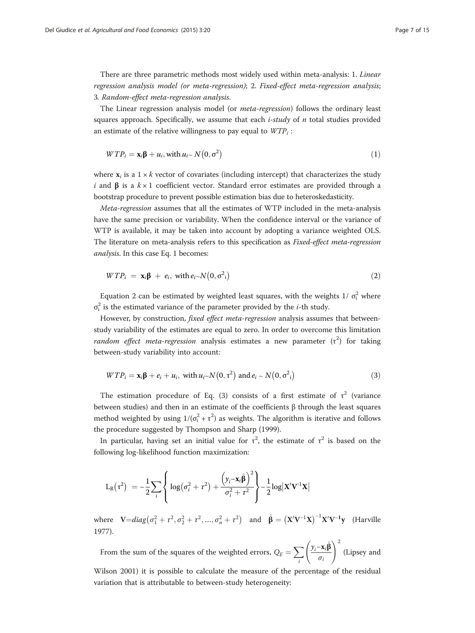There are three parametric methods most widely used within meta-analysis: 1. Linear regression analysis model (or meta-regression); 2. Fixed-effect meta-regression analysis; 3. Random-effect meta-regression analysis.

The Linear regression analysis model (or meta-regression) follows the ordinary least squares approach. Specifically, we assume that each *i-study* of  $n$  total studies provided an estimate of the relative willingness to pay equal to  $WTP_i$ :

$$
WTP_i = \mathbf{x}_i \mathbf{\beta} + u_i, \text{ with } u_i \sim N(0, \sigma^2)
$$
\n<sup>(1)</sup>

where  $x_i$  is a  $1 \times k$  vector of covariates (including intercept) that characterizes the study i and  $\beta$  is a  $k \times 1$  coefficient vector. Standard error estimates are provided through a bootstrap procedure to prevent possible estimation bias due to heteroskedasticity.

Meta-regression assumes that all the estimates of WTP included in the meta-analysis have the same precision or variability. When the confidence interval or the variance of WTP is available, it may be taken into account by adopting a variance weighted OLS. The literature on meta-analysis refers to this specification as Fixed-effect meta-regression analysis. In this case Eq. 1 becomes:

$$
WTP_i = \mathbf{x}_i \mathbf{\beta} + e_i, \text{ with } e_i \sim N(0, \sigma^2_i)
$$
 (2)

Equation 2 can be estimated by weighted least squares, with the weights  $1/|\sigma_i^2|$  where  $\sigma_i^2$  is the estimated variance of the parameter provided by the *i*-th study.

However, by construction, fixed effect meta-regression analysis assumes that betweenstudy variability of the estimates are equal to zero. In order to overcome this limitation *random effect meta-regression* analysis estimates a new parameter  $(\tau^2)$  for taking between-study variability into account:

$$
WTP_i = \mathbf{x}_i \mathbf{\beta} + e_i + u_i, \text{ with } u_i \sim N(0, \tau^2) \text{ and } e_i \sim N(0, \sigma^2)
$$
 (3)

The estimation procedure of Eq. (3) consists of a first estimate of  $\tau^2$  (variance between studies) and then in an estimate of the coefficients β through the least squares method weighted by using  $1/(\sigma_i^2 + \tau^2)$  as weights. The algorithm is iterative and follows the procedure suggested by Thompson and Sharp ([1999\)](#page-14-0).

In particular, having set an initial value for  $\tau^2$ , the estimate of  $\tau^2$  is based on the following log-likelihood function maximization:

$$
L_{R}(\tau^{2}) = -\frac{1}{2} \sum_{i} \left\{ \log(\sigma_{i}^{2} + \tau^{2}) + \frac{\left(y_{i} - x_{i} \hat{\beta}\right)^{2}}{\sigma_{i}^{2} + \tau^{2}} \right\} - \frac{1}{2} \log |X'V^{1}X|
$$

where  $V = diag(\sigma_1^2 + \tau^2, \sigma_2^2 + \tau^2, ..., \sigma_n^2 + \tau^2)$  and  $\hat{\beta} = (X'V^{-1}X)^{-1}X'V^{-1}y$  (Harville [1977](#page-13-0)).

From the sum of the squares of the weighted errors,  $Q_E = \sum_i$  $y_i - x_i \hat{\boldsymbol{\beta}}$  $\sigma_i$  $\left(\gamma - \mathbf{x} \cdot \hat{\mathbf{\beta}}\right)^2$ (Lipsey and

Wilson [2001\)](#page-13-0) it is possible to calculate the measure of the percentage of the residual variation that is attributable to between-study heterogeneity: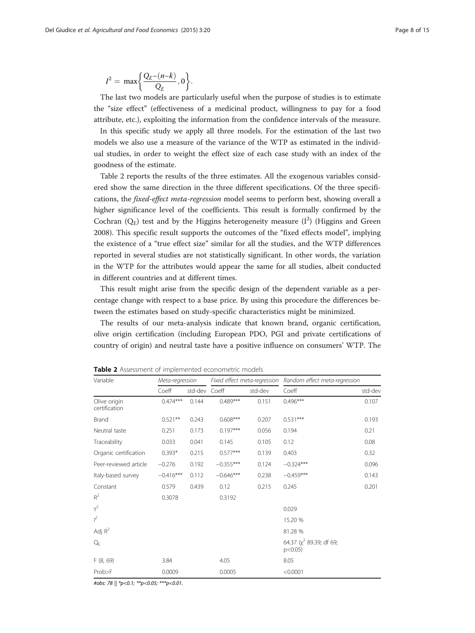$$
I^2 = \max \biggl\{ \frac{Q_E - (n-k)}{Q_E}, 0 \biggr\}.
$$

The last two models are particularly useful when the purpose of studies is to estimate the "size effect" (effectiveness of a medicinal product, willingness to pay for a food attribute, etc.), exploiting the information from the confidence intervals of the measure.

In this specific study we apply all three models. For the estimation of the last two models we also use a measure of the variance of the WTP as estimated in the individual studies, in order to weight the effect size of each case study with an index of the goodness of the estimate.

Table 2 reports the results of the three estimates. All the exogenous variables considered show the same direction in the three different specifications. Of the three specifications, the fixed-effect meta-regression model seems to perform best, showing overall a higher significance level of the coefficients. This result is formally confirmed by the Cochran  $(Q_E)$  test and by the Higgins heterogeneity measure  $(I^2)$  (Higgins and Green [2008](#page-13-0)). This specific result supports the outcomes of the "fixed effects model", implying the existence of a "true effect size" similar for all the studies, and the WTP differences reported in several studies are not statistically significant. In other words, the variation in the WTP for the attributes would appear the same for all studies, albeit conducted in different countries and at different times.

This result might arise from the specific design of the dependent variable as a percentage change with respect to a base price. By using this procedure the differences between the estimates based on study-specific characteristics might be minimized.

The results of our meta-analysis indicate that known brand, organic certification, olive origin certification (including European PDO, PGI and private certifications of country of origin) and neutral taste have a positive influence on consumers' WTP. The

| Variable                      | Meta-regression |         |             |         | Fixed effect meta-regression Random effect meta-regression |         |
|-------------------------------|-----------------|---------|-------------|---------|------------------------------------------------------------|---------|
|                               | Coeff           | std-dev | Coeff       | std-dev | Coeff                                                      | std-dev |
| Olive origin<br>certification | $0.474***$      | 0.144   | $0.489***$  | 0.151   | $0.496***$                                                 | 0.107   |
| Brand                         | $0.521***$      | 0.243   | $0.608***$  | 0.207   | $0.531***$                                                 | 0.193   |
| Neutral taste                 | 0.251           | 0.173   | $0.197***$  | 0.056   | 0.194                                                      | 0.21    |
| Traceability                  | 0.033           | 0.041   | 0.145       | 0.105   | 0.12                                                       | 0.08    |
| Organic certification         | $0.393*$        | 0.215   | $0.577***$  | 0.139   | 0.403                                                      | 0.32    |
| Peer-reviewed article         | $-0.276$        | 0.192   | $-0.355***$ | 0.124   | $-0.324***$                                                | 0.096   |
| Italy-based survey            | $-0.416***$     | 0.112   | $-0.646***$ | 0.238   | $-0.459***$                                                | 0.143   |
| Constant                      | 0.579           | 0.439   | 0.12        | 0.215   | 0.245                                                      | 0.201   |
| $R^2$                         | 0.3078          |         | 0.3192      |         |                                                            |         |
| $\tau^2$                      |                 |         |             |         | 0.029                                                      |         |
| $f^2$                         |                 |         |             |         | 15.20 %                                                    |         |
| Adj $R^2$                     |                 |         |             |         | 81.28 %                                                    |         |
| $Q_{E}$                       |                 |         |             |         | 64.37 ( $\chi^2$ 89.39; df 69;<br>$p<0.05$ )               |         |
| F(8, 69)                      | 3.84            |         | 4.05        |         | 8.05                                                       |         |
| Prob>F                        | 0.0009          |         | 0.0005      |         | < 0.0001                                                   |         |

Table 2 Assessment of implemented econometric models

#obs: 78 || \*p<0.1; \*\*p<0.05; \*\*\*p<0.01.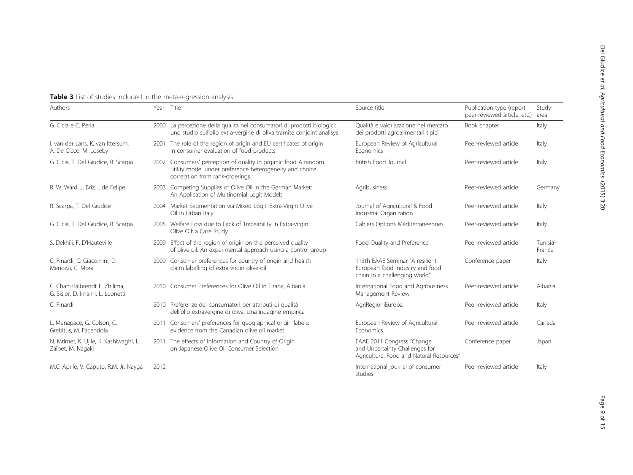| Authors                                                           | Year | Title                                                                                                                                                        | Source title                                                                                             | Publication type (report,<br>peer-reviewed article, etc.) | Study<br>area      |
|-------------------------------------------------------------------|------|--------------------------------------------------------------------------------------------------------------------------------------------------------------|----------------------------------------------------------------------------------------------------------|-----------------------------------------------------------|--------------------|
| G. Cicia e C. Perla                                               |      | 2000 La percezione della qualità nei consumatori di prodotti biologici:<br>uno studio sull'olio extra-vergine di oliva tramite conjoint analisys             | Qualità e valorizzazione nel mercato<br>dei prodotti agroalimentari tipici                               | Book chapter                                              | Italy              |
| I. van der Lans, K. van Ittersum,<br>A. De Cicco, M. Loseby       |      | 2001 The role of the region of origin and EU certificates of origin<br>in consumer evaluation of food products                                               | European Review of Agricultural<br>Economics                                                             | Peer-reviewed article                                     | Italy              |
| G. Cicia, T. Del Giudice, R. Scarpa                               |      | 2002 Consumers' perception of quality in organic food A random<br>utility model under preference heterogeneity and choice<br>correlation from rank-orderings | British Food Journal                                                                                     | Peer-reviewed article                                     | Italy              |
| R. W. Ward, J. Briz, I. de Felipe                                 |      | 2003 Competing Supplies of Olive Oil in the German Market:<br>An Application of Multinomial Logit Models                                                     | Agribusiness                                                                                             | Peer-reviewed article                                     | Germany            |
| R. Scarpa, T. Del Giudice                                         |      | 2004 Market Segmentation via Mixed Logit: Extra-Virgin Olive<br>Oil in Urban Italy                                                                           | Journal of Agricultural & Food<br>Industrial Organization                                                | Peer-reviewed article                                     | Italy              |
| G. Cicia, T. Del Giudice, R. Scarpa                               |      | 2005 Welfare Loss due to Lack of Traceability in Extra-virgin<br>Olive Oil: a Case Study                                                                     | Cahiers Options Méditerranéennes                                                                         | Peer-reviewed article                                     | Italy              |
| S. Dekhili, F. D'Hauteville                                       |      | 2009 Effect of the region of origin on the perceived quality<br>of olive oil: An experimental approach using a control group                                 | Food Quality and Preference                                                                              | Peer-reviewed article                                     | Tunisia-<br>France |
| C. Finardi, C. Giacomini, D.<br>Menozzi, C. Mora                  |      | 2009 Consumer preferences for country-of-origin and health<br>claim labelling of extra-virgin olive-oil                                                      | 113th FAAF Seminar "A resilient<br>European food industry and food<br>chain in a challenging world"      | Conference paper                                          | Italy              |
| C. Chan-Halbrendt E. Zhllima.<br>G. Sisior, D. Imami, L. Leonetti |      | 2010 Consumer Preferences for Olive Oil in Tirana, Albania                                                                                                   | International Food and Agribusiness<br>Management Review                                                 | Peer-reviewed article                                     | Albania            |
| C. Finardi                                                        |      | 2010 Preferenze dei consumatori per attributi di qualità<br>dell'olio extravergine di oliva. Una indagine empirica                                           | AgriRegioniEuropa                                                                                        | Peer-reviewed article                                     | Italy              |
| L. Menapace, G. Colson, C.<br>Grebitus, M. Facendola              |      | 2011 Consumers' preferences for geographical origin labels:<br>evidence from the Canadian olive oil market                                                   | European Review of Agricultural<br>Economics                                                             | Peer-reviewed article                                     | Canada             |
| N. Mtimet, K. Ujiie, K. Kashiwaghi, L.<br>Zaibet, M. Nagaki       |      | 2011 The effects of Information and Country of Origin<br>on Japanese Olive Oil Consumer Selection                                                            | EAAE 2011 Congress "Change<br>and Uncertainty Challenges for<br>Agriculture, Food and Natural Resources" | Conference paper                                          | Japan              |
| M.C. Aprile, V. Caputo, R.M. Jr. Nayga                            | 2012 |                                                                                                                                                              | International journal of consumer<br>studies                                                             | Peer-reviewed article                                     | Italy              |

# <span id="page-8-0"></span>Table 3 List of studies included in the meta-regression analysis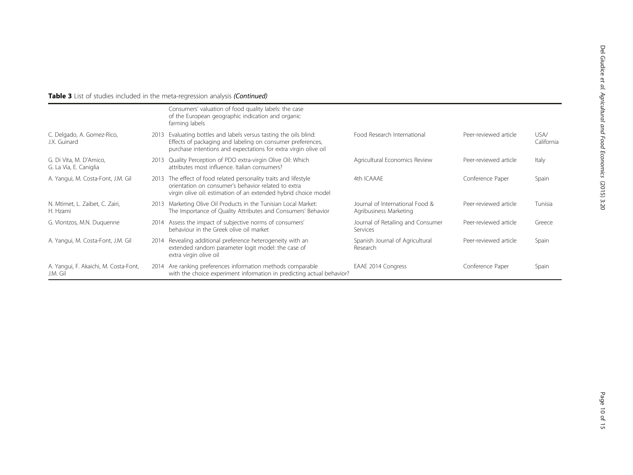# Table 3 List of studies included in the meta-regression analysis (Continued)

|                                                   |      | Consumers' valuation of food quality labels: the case<br>of the European geographic indication and organic<br>farming labels                                                                  |                                                           |                       |                    |
|---------------------------------------------------|------|-----------------------------------------------------------------------------------------------------------------------------------------------------------------------------------------------|-----------------------------------------------------------|-----------------------|--------------------|
| C. Delgado, A. Gomez-Rico,<br>J.X. Guinard        | 2013 | Evaluating bottles and labels versus tasting the oils blind:<br>Effects of packaging and labeling on consumer preferences,<br>purchase intentions and expectations for extra virgin olive oil | Food Research International                               | Peer-reviewed article | USA/<br>California |
| G. Di Vita, M. D'Amico,<br>G. La Via, E. Caniglia |      | 2013 Quality Perception of PDO extra-virgin Olive Oil: Which<br>attributes most influence. Italian consumers?                                                                                 | Agricultural Economics Review                             | Peer-reviewed article | Italy              |
| A. Yangui, M. Costa-Font, J.M. Gil                |      | 2013 The effect of food related personality traits and lifestyle<br>orientation on consumer's behavior related to extra<br>virgin olive oil: estimation of an extended hybrid choice model    | 4th ICAAAE                                                | Conference Paper      | Spain              |
| N. Mtimet, L. Zaibet, C. Zairi,<br>H. Hzami       | 2013 | Marketing Olive Oil Products in the Tunisian Local Market:<br>The Importance of Quality Attributes and Consumers' Behavior                                                                    | Journal of International Food &<br>Agribusiness Marketing | Peer-reviewed article | Tunisia            |
| G. Vlontzos, M.N. Duguenne                        | 2014 | Assess the impact of subjective norms of consumers'<br>behaviour in the Greek olive oil market                                                                                                | Journal of Retailing and Consumer<br><b>Services</b>      | Peer-reviewed article | Greece             |
| A. Yangui, M. Costa-Font, J.M. Gil                | 2014 | Revealing additional preference heterogeneity with an<br>extended random parameter logit model: the case of<br>extra virgin olive oil                                                         | Spanish Journal of Agricultural<br>Research               | Peer-reviewed article | Spain              |
| A. Yangui, F. Akaichi, M. Costa-Font,<br>J.M. Gil | 2014 | Are ranking preferences information methods comparable<br>with the choice experiment information in predicting actual behavior?                                                               | EAAE 2014 Congress                                        | Conference Paper      | Spain              |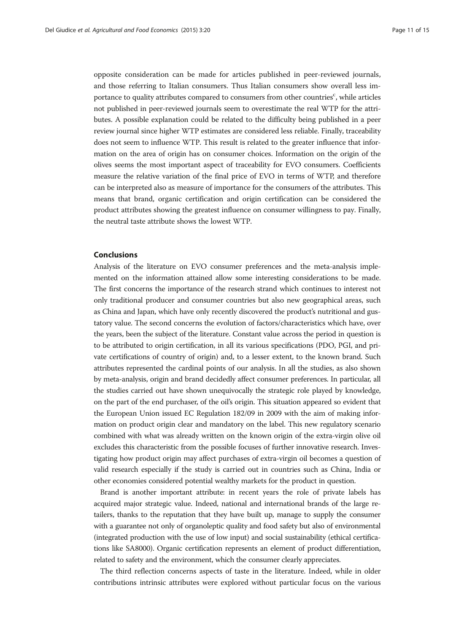opposite consideration can be made for articles published in peer-reviewed journals, and those referring to Italian consumers. Thus Italian consumers show overall less importance to quality attributes compared to consumers from other countries<sup>c</sup>, while articles not published in peer-reviewed journals seem to overestimate the real WTP for the attributes. A possible explanation could be related to the difficulty being published in a peer review journal since higher WTP estimates are considered less reliable. Finally, traceability does not seem to influence WTP. This result is related to the greater influence that information on the area of origin has on consumer choices. Information on the origin of the olives seems the most important aspect of traceability for EVO consumers. Coefficients measure the relative variation of the final price of EVO in terms of WTP, and therefore can be interpreted also as measure of importance for the consumers of the attributes. This means that brand, organic certification and origin certification can be considered the product attributes showing the greatest influence on consumer willingness to pay. Finally, the neutral taste attribute shows the lowest WTP.

### Conclusions

Analysis of the literature on EVO consumer preferences and the meta-analysis implemented on the information attained allow some interesting considerations to be made. The first concerns the importance of the research strand which continues to interest not only traditional producer and consumer countries but also new geographical areas, such as China and Japan, which have only recently discovered the product's nutritional and gustatory value. The second concerns the evolution of factors/characteristics which have, over the years, been the subject of the literature. Constant value across the period in question is to be attributed to origin certification, in all its various specifications (PDO, PGI, and private certifications of country of origin) and, to a lesser extent, to the known brand. Such attributes represented the cardinal points of our analysis. In all the studies, as also shown by meta-analysis, origin and brand decidedly affect consumer preferences. In particular, all the studies carried out have shown unequivocally the strategic role played by knowledge, on the part of the end purchaser, of the oil's origin. This situation appeared so evident that the European Union issued EC Regulation 182/09 in 2009 with the aim of making information on product origin clear and mandatory on the label. This new regulatory scenario combined with what was already written on the known origin of the extra-virgin olive oil excludes this characteristic from the possible focuses of further innovative research. Investigating how product origin may affect purchases of extra-virgin oil becomes a question of valid research especially if the study is carried out in countries such as China, India or other economies considered potential wealthy markets for the product in question.

Brand is another important attribute: in recent years the role of private labels has acquired major strategic value. Indeed, national and international brands of the large retailers, thanks to the reputation that they have built up, manage to supply the consumer with a guarantee not only of organoleptic quality and food safety but also of environmental (integrated production with the use of low input) and social sustainability (ethical certifications like SA8000). Organic certification represents an element of product differentiation, related to safety and the environment, which the consumer clearly appreciates.

The third reflection concerns aspects of taste in the literature. Indeed, while in older contributions intrinsic attributes were explored without particular focus on the various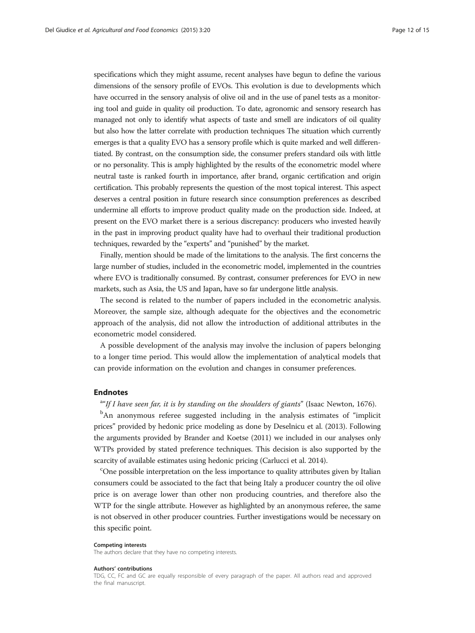specifications which they might assume, recent analyses have begun to define the various dimensions of the sensory profile of EVOs. This evolution is due to developments which have occurred in the sensory analysis of olive oil and in the use of panel tests as a monitoring tool and guide in quality oil production. To date, agronomic and sensory research has managed not only to identify what aspects of taste and smell are indicators of oil quality but also how the latter correlate with production techniques The situation which currently emerges is that a quality EVO has a sensory profile which is quite marked and well differentiated. By contrast, on the consumption side, the consumer prefers standard oils with little or no personality. This is amply highlighted by the results of the econometric model where neutral taste is ranked fourth in importance, after brand, organic certification and origin certification. This probably represents the question of the most topical interest. This aspect deserves a central position in future research since consumption preferences as described undermine all efforts to improve product quality made on the production side. Indeed, at present on the EVO market there is a serious discrepancy: producers who invested heavily in the past in improving product quality have had to overhaul their traditional production techniques, rewarded by the "experts" and "punished" by the market.

Finally, mention should be made of the limitations to the analysis. The first concerns the large number of studies, included in the econometric model, implemented in the countries where EVO is traditionally consumed. By contrast, consumer preferences for EVO in new markets, such as Asia, the US and Japan, have so far undergone little analysis.

The second is related to the number of papers included in the econometric analysis. Moreover, the sample size, although adequate for the objectives and the econometric approach of the analysis, did not allow the introduction of additional attributes in the econometric model considered.

A possible development of the analysis may involve the inclusion of papers belonging to a longer time period. This would allow the implementation of analytical models that can provide information on the evolution and changes in consumer preferences.

#### **Endnotes**

<sup>au</sup>If I have seen far, it is by standing on the shoulders of giants" (Isaac Newton, [1676\)](#page-13-0).

<sup>b</sup>An anonymous referee suggested including in the analysis estimates of "implicit prices" provided by hedonic price modeling as done by Deselnicu et al. ([2013](#page-13-0)). Following the arguments provided by Brander and Koetse [\(2011](#page-12-0)) we included in our analyses only WTPs provided by stated preference techniques. This decision is also supported by the scarcity of available estimates using hedonic pricing (Carlucci et al. [2014\)](#page-12-0).

<sup>c</sup>One possible interpretation on the less importance to quality attributes given by Italian consumers could be associated to the fact that being Italy a producer country the oil olive price is on average lower than other non producing countries, and therefore also the WTP for the single attribute. However as highlighted by an anonymous referee, the same is not observed in other producer countries. Further investigations would be necessary on this specific point.

#### Competing interests

The authors declare that they have no competing interests.

#### Authors' contributions

TDG, CC, FC and GC are equally responsible of every paragraph of the paper. All authors read and approved the final manuscript.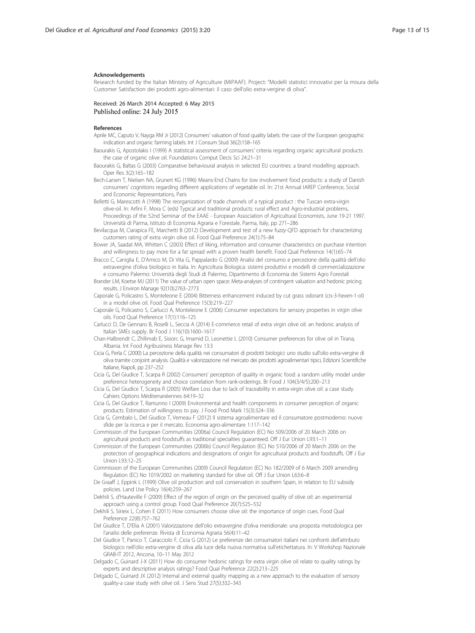#### <span id="page-12-0"></span>Acknowledgements

Research funded by the Italian Ministry of Agriculture (MiPAAF). Project: "Modelli statistici innovativi per la misura della Customer Satisfaction dei prodotti agro-alimentari: il caso dell'olio extra-vergine di oliva".

Received: 26 March 2014 Accepted: 6 May 2015 Published online: 24 July 2015

#### References

- Aprile MC, Caputo V, Nayga RM Jr (2012) Consumers' valuation of food quality labels: the case of the European geographic indication and organic farming labels. Int J Consum Stud 36(2):158–165
- Baourakis G, Apostolakis I (1999) A statistical assessment of consumers' criteria regarding organic agricultural products: the case of organic olive oil. Foundations Comput Decis Sci 24:21–31
- Baourakis G, Baltas G (2003) Comparative behavioural analysis in selected EU countries: a brand modelling approach. Oper Res 3(2):165–182
- Bech-Larsen T, Nielsen NA, Grunert KG (1996) Means-End Chains for low involvement food products: a study of Danish consumers' cognitions regarding different applications of vegetable oil. In: 21st Annual IAREP Conference, Social and Economic Representations, Paris
- Belletti G, Marescotti A (1998) The reorganization of trade channels of a typical product : the Tuscan extra-virgin olive-oil. In: Arfini F, Mora C (eds) Typical and traditional products: rural effect and Agro-industrial problems, Proceedings of the 52nd Seminar of the EAAE - European Association of Agricultural Economists, June 19-21 1997. Università di Parma, Istituto di Economia Agraria e Forestale, Parma, Italy, pp 271–286
- Bevilacqua M, Ciarapica FE, Marchetti B (2012) Development and test of a new fuzzy-QFD approach for characterizing customers rating of extra virgin olive oil. Food Qual Preference 24(1):75–84
- Bower JA, Saadat MA, Whitten C (2003) Effect of liking, information and consumer characteristics on purchase intention and willingness to pay more for a fat spread with a proven health benefit. Food Qual Preference 14(1):65–74
- Bracco C, Caniglia E, D'Amico M, Di Vita G, Pappalardo G (2009) Analisi del consumo e percezione della qualità dell'olio extravergine d'oliva biologico in Italia. In: Agricoltura Biologica: sistemi produttivi e modelli di commercializzazione e consumo Palermo: Università degli Studi di Palermo, Dipartimento di Economia dei Sistemi Agro Forestali
- Brander LM, Koetse MJ (2011) The value of urban open space: Meta-analyses of contingent valuation and hedonic pricing results. J Environ Manage 92(10):2763–2773
- Caporale G, Policastro S, Monteleone E (2004) Bitterness enhancement induced by cut grass odorant (cis-3-hexen-1-ol) in a model olive oil. Food Qual Preference 15(3):219–227
- Caporale G, Policastro S, Carlucci A, Monteleone E (2006) Consumer expectations for sensory properties in virgin olive oils. Food Qual Preference 17(1):116–125
- Carlucci D, De Gennaro B, Roselli L, Seccia A (2014) E-commerce retail of extra virgin olive oil: an hedonic analysis of Italian SMEs supply. Br Food J 116(10):1600–1617
- Chan-Halbrendt C, Zhllimab E, Sisiorc G, Imamid D, Leonettie L (2010) Consumer preferences for olive oil in Tirana, Albania. Int Food Agribusiness Manage Rev 13:3
- Cicia G, Perla C (2000) La percezione della qualità nei consumatori di prodotti biologici: uno studio sull'olio extra-vergine di oliva tramite conjoint analysis. Qualità e valorizzazione nel mercato dei prodotti agroalimentari tipici, Edizioni Scientifiche Italiane, Napoli, pp 237–252
- Cicia G, Del Giudice T, Scarpa R (2002) Consumers' perception of quality in organic food: a random utility model under preference heterogeneity and choice correlation from rank-orderings. Br Food J 104(3/4/5):200–213
- Cicia G, Del Giudice T, Scarpa R (2005) Welfare Loss due to lack of traceability in extra-virgin olive oil: a case study. Cahiers Options Méditerranéennes 64:19–32
- Cicia G, Del Giudice T, Ramunno I (2009) Environmental and health components in consumer perception of organic products: Estimation of willingness to pay. J Food Prod Mark 15(3):324–336
- Cicia G, Cembalo L, Del Giudice T, Verneau F (2012) Il sistema agroalimentare ed il consumatore postmoderno: nuove sfide per la ricerca e per il mercato. Economia agro-alimentare 1:117–142
- Commission of the European Communities (2006a) Council Regulation (EC) No 509/2006 of 20 March 2006 on agricultural products and foodstuffs as traditional specialties guaranteed. Off J Eur Union L93:1–11
- Commission of the European Communities (2006b) Council Regulation (EC) No 510/2006 of 20 March 2006 on the protection of geographical indications and designations of origin for agricultural products and foodstuffs. Off J Eur Union L93:12–25
- Commission of the European Communities (2009) Council Regulation (EC) No 182/2009 of 6 March 2009 amending Regulation (EC) No 1019/2002 on marketing standard for olive oil. Off J Eur Union L63:6–8
- De Graaff J, Eppink L (1999) Olive oil production and soil conservation in southern Spain, in relation to EU subsidy policies. Land Use Policy 16(4):259–267
- Dekhili S, d'Hauteville F (2009) Effect of the region of origin on the perceived quality of olive oil: an experimental approach using a control group. Food Qual Preference 20(7):525–532
- Dekhili S, Sirieix L, Cohen E (2011) How consumers choose olive oil: the importance of origin cues. Food Qual Preference 22(8):757–762
- Del Giudice T, D'Elia A (2001) Valorizzazione dell'olio extravergine d'oliva meridionale: una proposta metodologica per l'analisi delle preferenze. Rivista di Economia Agraria 56(4):11–42
- Del Giudice T, Panico T, Caracciolo F, Cicia G (2012) Le preferenze dei consumatori italiani nei confronti dell'attributo biologico nell'olio extra-vergine di oliva alla luce della nuova normativa sull'etichettatura. In: V Workshop Nazionale GRAB-IT 2012, Ancona, 10–11 May 2012
- Delgado C, Guinard J-X (2011) How do consumer hedonic ratings for extra virgin olive oil relate to quality ratings by experts and descriptive analysis ratings? Food Qual Preference 22(2):213–225
- Delgado C, Guinard JX (2012) Internal and external quality mapping as a new approach to the evaluation of sensory quality-a case study with olive oil. J Sens Stud 27(5):332–343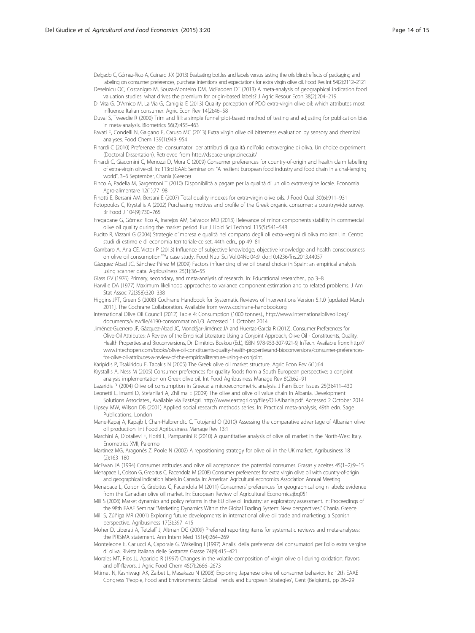<span id="page-13-0"></span>Delgado C, Gómez-Rico A, Guinard J-X (2013) Evaluating bottles and labels versus tasting the oils blind: effects of packaging and labeling on consumer preferences, purchase intentions and expectations for extra virgin olive oil. Food Res Int 54(2):2112–2121 Deselnicu OC, Costanigro M, Souza-Monteiro DM, McFadden DT (2013) A meta-analysis of geographical indication food

valuation studies: what drives the premium for origin-based labels? J Agric Resour Econ 38(2):204–219

Di Vita G, D'Amico M, La Via G, Caniglia E (2013) Quality perception of PDO extra-virgin olive oil: which attributes most influence Italian consumer. Agric Econ Rev 14(2):46–58

Duval S, Tweedie R (2000) Trim and fill: a simple funnel‐plot-based method of testing and adjusting for publication bias in meta-analysis. Biometrics 56(2):455-463

Favati F, Condelli N, Galgano F, Caruso MC (2013) Extra virgin olive oil bitterness evaluation by sensory and chemical analyses. Food Chem 139(1):949–954

Finardi C (2010) Preferenze dei consumatori per attributi di qualità nell'olio extravergine di oliva. Un choice experiment. (Doctoral Dissertation), Retrieved from<http://dspace-unipr.cineca.it/>

Finardi C, Giacomini C, Menozzi D, Mora C (2009) Consumer preferences for country-of-origin and health claim labelling of extra-virgin olive-oil. In: 113rd EAAE Seminar on: "A resilient European food industry and food chain in a chal-lenging world", 3–6 September, Chania (Greece)

Finco A, Padella M, Sargentoni T (2010) Disponibilità a pagare per la qualità di un olio extravergine locale. Economia Agro-alimentare 12(1):77–98

Finotti E, Bersani AM, Bersani E (2007) Total quality indexes for extra-virgin olive oils. J Food Qual 30(6):911-931

Fotopoulos C, Krystallis A (2002) Purchasing motives and profile of the Greek organic consumer: a countrywide survey. Br Food J 104(9):730–765

Fregapane G, Gómez‐Rico A, Inarejos AM, Salvador MD (2013) Relevance of minor components stability in commercial olive oil quality during the market period. Eur J Lipid Sci Technol 115(5):541–548

Fucito R, Vizzarri G (2004) Strategie d'impresa e qualità nel comparto degli oli extra-vergini di oliva molisani. In: Centro studi di estimo e di economia territoriale-ce set, 44th edn., pp 49–81

Gambaro A, Ana CE, Victor P (2013) Influence of subjective knowledge, objective knowledge and health consciousness on olive oil consumption°™a case study. Food Nutr Sci Vol.04No.04:9. doi:10.4236/fns.2013.44057

Gázquez‐Abad JC, Sánchez‐Pérez M (2009) Factors influencing olive oil brand choice in Spain: an empirical analysis using scanner data. Agribusiness 25(1):36–55

Glass GV (1976) Primary, secondary, and meta-analysis of research. In: Educational researcher., pp 3–8

Harville DA (1977) Maximum likelihood approaches to variance component estimation and to related problems. J Am Stat Assoc 72(358):320–338

Higgins JPT, Green S (2008) Cochrane Handbook for Systematic Reviews of Interventions Version 5.1.0 [updated March 2011]. The Cochrane Collaboration. Available from [www.cochrane-handbook.org](http://www.cochrane-handbook.org)

International Olive Oil Council (2012) Table 4: Consumption (1000 tonnes)., [http://www.internationaloliveoil.org/](http://www.internationaloliveoil.org/documents/viewfile/4190-consommation1/3) [documents/viewfile/4190-consommation1/3](http://www.internationaloliveoil.org/documents/viewfile/4190-consommation1/3). Accessed 11 October 2014

Jiménez-Guerrero JF, Gázquez-Abad JC, Mondéjar-Jiménez JA and Huertas-García R (2012). Consumer Preferences for Olive-Oil Attributes: A Review of the Empirical Literature Using a Conjoint Approach, Olive Oil - Constituents, Quality, Health Properties and Bioconversions, Dr. Dimitrios Boskou (Ed.), ISBN: 978-953-307-921-9, InTech. Available from: [http://](http://www.intechopen.com/books/olive-oil-constituents-quality-health-propertiesand-bioconversions/consumer-preferences-for-olive-oil-attributes-a-review-of-the-empiricalliterature-using-a-conjoint) [www.intechopen.com/books/olive-oil-constituents-quality-health-propertiesand-bioconversions/consumer-preferences](http://www.intechopen.com/books/olive-oil-constituents-quality-health-propertiesand-bioconversions/consumer-preferences-for-olive-oil-attributes-a-review-of-the-empiricalliterature-using-a-conjoint)[for-olive-oil-attributes-a-review-of-the-empiricalliterature-using-a-conjoint.](http://www.intechopen.com/books/olive-oil-constituents-quality-health-propertiesand-bioconversions/consumer-preferences-for-olive-oil-attributes-a-review-of-the-empiricalliterature-using-a-conjoint)

Karipidis P, Tsakiridou E, Tabakis N (2005) The Greek olive oil market structure. Agric Econ Rev 6(1):64

Krystallis A, Ness M (2005) Consumer preferences for quality foods from a South European perspective: a conjoint analysis implementation on Greek olive oil. Int Food Agribusiness Manage Rev 8(2):62–91

Lazaridis P (2004) Olive oil consumption in Greece: a microeconometric analysis. J Fam Econ Issues 25(3):411–430 Leonetti L, Imami D, Stefanllari A, Zhllima E (2009) The olive and olive oil value chain In Albania. Development

Solutions Associates., Available via EastAgri. [http://www.eastagri.org/files/Oil-Albania.pdf.](http://www.eastagri.org/files/Oil-Albania.pdf) Accessed 2 October 2014 Lipsey MW, Wilson DB (2001) Applied social research methods series. In: Practical meta-analysis, 49th edn. Sage Publications, London

Mane-Kapaj A, Kapajb I, Chan-Halbrendtc C, Totojanid O (2010) Assessing the comparative advantage of Albanian olive oil production. Int Food Agribusiness Manage Rev 13:1

Marchini A, Diotallevi F, Fioriti L, Pampanini R (2010) A quantitative analysis of olive oil market in the North-West Italy. Enometrics XVII, Palermo

Martínez MG, Aragonés Z, Poole N (2002) A repositioning strategy for olive oil in the UK market. Agribusiness 18 (2):163–180

McEwan JA (1994) Consumer attitudes and olive oil acceptance: the potential consumer. Grasas y aceites 45(1–2):9–15 Menapace L, Colson G, Grebitus C, Facendola M (2008) Consumer preferences for extra virgin olive oil with country-of-origin

and geographical indication labels in Canada. In: American Agricultural economics Association Annual Meeting Menapace L, Colson G, Grebitus C, Facendola M (2011) Consumers' preferences for geographical origin labels: evidence from the Canadian olive oil market. In: European Review of Agricultural Economics: ibq051

Mili S (2006) Market dynamics and policy reforms in the EU olive oil industry: an exploratory assessment. In: Proceedings of the 98th EAAE Seminar "Marketing Dynamics Within the Global Trading System: New perspectives," Chania, Greece

Mili S, Zúñiga MR (2001) Exploring future developments in international olive oil trade and marketing: a Spanish perspective. Agribusiness 17(3):397–415

Moher D, Liberati A, Tetzlaff J, Altman DG (2009) Preferred reporting items for systematic reviews and meta-analyses: the PRISMA statement. Ann Intern Med 151(4):264–269

Monteleone E, Carlucci A, Caporale G, Wakeling I (1997) Analisi della preferenza dei consumatori per l'olio extra vergine di oliva. Rivista Italiana delle Sostanze Grasse 74(9):415–421

Morales MT, Rios JJ, Aparicio R (1997) Changes in the volatile composition of virgin olive oil during oxidation: flavors and off-flavors. J Agric Food Chem 45(7):2666–2673

Mtimet N, Kashiwagi AK, Zaibet L, Masakazu N (2008) Exploring Japanese olive oil consumer behavior. In: 12th EAAE Congress 'People, Food and Environments: Global Trends and European Strategies', Gent (Belgium)., pp 26–29